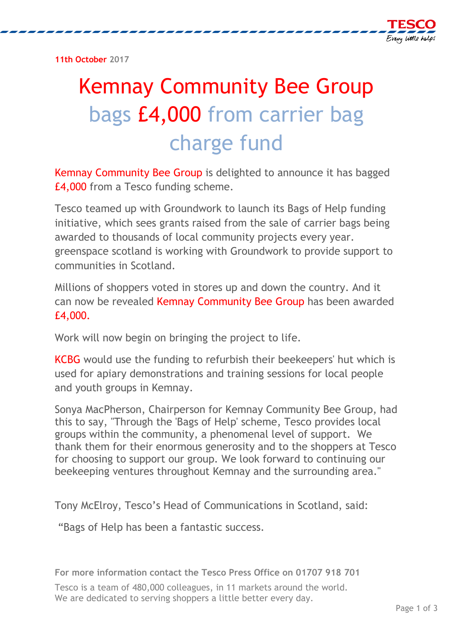**11th October 2017** 

## Kemnay Community Bee Group bags £4,000 from carrier bag charge fund

Kemnay Community Bee Group is delighted to announce it has bagged £4,000 from a Tesco funding scheme.

Tesco teamed up with Groundwork to launch its Bags of Help funding initiative, which sees grants raised from the sale of carrier bags being awarded to thousands of local community projects every year. greenspace scotland is working with Groundwork to provide support to communities in Scotland.

Millions of shoppers voted in stores up and down the country. And it can now be revealed Kemnay Community Bee Group has been awarded £4,000.

Work will now begin on bringing the project to life.

KCBG would use the funding to refurbish their beekeepers' hut which is used for apiary demonstrations and training sessions for local people and youth groups in Kemnay.

Sonya MacPherson, Chairperson for Kemnay Community Bee Group, had this to say, "Through the 'Bags of Help' scheme, Tesco provides local groups within the community, a phenomenal level of support. We thank them for their enormous generosity and to the shoppers at Tesco for choosing to support our group. We look forward to continuing our beekeeping ventures throughout Kemnay and the surrounding area."

Tony McElroy, Tesco's Head of Communications in Scotland, said:

"Bags of Help has been a fantastic success.

**For more information contact the Tesco Press Office on 01707 918 701**

Tesco is a team of 480,000 colleagues, in 11 markets around the world. We are dedicated to serving shoppers a little better every day.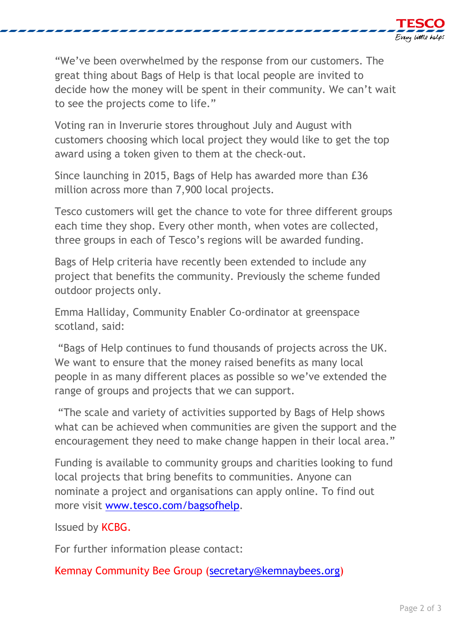

"We've been overwhelmed by the response from our customers. The great thing about Bags of Help is that local people are invited to decide how the money will be spent in their community. We can't wait to see the projects come to life."

Voting ran in Inverurie stores throughout July and August with customers choosing which local project they would like to get the top award using a token given to them at the check-out.

Since launching in 2015, Bags of Help has awarded more than £36 million across more than 7,900 local projects.

Tesco customers will get the chance to vote for three different groups each time they shop. Every other month, when votes are collected, three groups in each of Tesco's regions will be awarded funding.

Bags of Help criteria have recently been extended to include any project that benefits the community. Previously the scheme funded outdoor projects only.

Emma Halliday, Community Enabler Co-ordinator at greenspace scotland, said:

"Bags of Help continues to fund thousands of projects across the UK. We want to ensure that the money raised benefits as many local people in as many different places as possible so we've extended the range of groups and projects that we can support.

"The scale and variety of activities supported by Bags of Help shows what can be achieved when communities are given the support and the encouragement they need to make change happen in their local area."

Funding is available to community groups and charities looking to fund local projects that bring benefits to communities. Anyone can nominate a project and organisations can apply online. To find out more visit [www.tesco.com/bagsofhelp.](http://www.tesco.com/bagsofhelp)

Issued by KCBG.

For further information please contact:

Kemnay Community Bee Group [\(secretary@kemnaybees.org\)](mailto:secretary@kemnaybees.org)